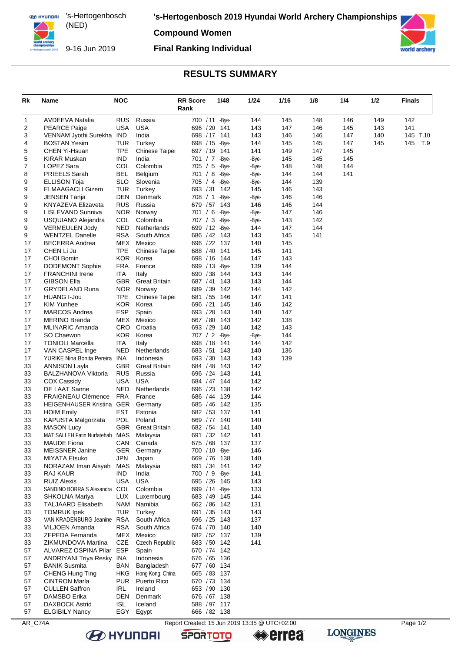**EX HYUNDAI** 's-Hertogenbosch (NED) 

**'s-Hertogenbosch 2019 Hyundai World Archery Championships**

**Compound Women**



9-16 Jun 2019

## **Final Ranking Individual**



## **RESULTS SUMMARY**

| Rk       | Name                                                   | <b>NOC</b>               |                             | <b>RR</b> Score<br>Rank         | 1/48       | 1/24         | 1/16       | 1/8        | 1/4        | 1/2 | <b>Finals</b> |
|----------|--------------------------------------------------------|--------------------------|-----------------------------|---------------------------------|------------|--------------|------------|------------|------------|-----|---------------|
| 1        | AVDEEVA Natalia                                        | <b>RUS</b>               | Russia                      | 700 / 11 - Bye-                 |            | 144          | 145        | 148        | 146        | 149 | 142           |
| 2        | <b>PEARCE Paige</b>                                    | <b>USA</b>               | <b>USA</b>                  | 696 / 20                        | 141        | 143          | 147        | 146        | 145        | 143 | 141           |
| 3        | VENNAM Jyothi Surekha IND                              |                          | India                       | 698 / 17                        | 141        | 143          | 146        | 146        | 147        | 140 | 145 T.10      |
| 4        | <b>BOSTAN Yesim</b>                                    | <b>TUR</b>               | Turkey                      | 698 / 15                        | -Bye-      | 144          | 145        | 145        | 147        | 145 | T.9<br>145    |
| 5<br>5   | <b>CHEN Yi-Hsuan</b><br><b>KIRAR Muskan</b>            | <b>TPE</b><br><b>IND</b> | Chinese Taipei<br>India     | 697 / 19 141<br>701 / 7         | -Bye-      | 141<br>-Bye- | 149<br>145 | 147<br>145 | 145<br>145 |     |               |
| 7        | LOPEZ Sara                                             | COL                      | Colombia                    | 705 / 5                         | -Bye-      | -Bye-        | 148        | 148        | 144        |     |               |
| 8        | <b>PRIEELS Sarah</b>                                   | <b>BEL</b>               | Belgium                     | 701 / 8 - Bye-                  |            | -Bye-        | 144        | 144        | 141        |     |               |
| 9        | <b>ELLISON Toja</b>                                    | <b>SLO</b>               | Slovenia                    | 705 / 4                         | -Bye-      | -Bye-        | 144        | 139        |            |     |               |
| 9        | ELMAAGACLI Gizem                                       | <b>TUR</b>               | Turkey                      | 693 / 31 142                    |            | 145          | 146        | 143        |            |     |               |
| 9        | <b>JENSEN Tanja</b>                                    | <b>DEN</b>               | Denmark                     | 708 / 1 - Bye-                  |            | -Bye-        | 146        | 146        |            |     |               |
| 9        | <b>KNYAZEVA Elizaveta</b>                              | <b>RUS</b>               | Russia                      | 679 / 57                        | 143        | 146          | 146        | 144        |            |     |               |
| 9        | LISLEVAND Sunniva                                      | <b>NOR</b>               | Norway                      | 701 / 6 -Bye-                   |            | -Bye-        | 147        | 146        |            |     |               |
| 9        | USQUIANO Alejandra                                     | COL                      | Colombia                    | 707 / 3 -Bye-                   |            | -Bye-        | 143        | 142        |            |     |               |
| 9<br>9   | <b>VERMEULEN Jody</b><br><b>WENTZEL Danelle</b>        | <b>NED</b><br><b>RSA</b> | Netherlands<br>South Africa | 699 / 12 - Bye-<br>686 / 42 143 |            | 144          | 147<br>145 | 144<br>141 |            |     |               |
| 17       | <b>BECERRA Andrea</b>                                  | MEX                      | Mexico                      | 696 / 22 137                    |            | 143<br>140   | 145        |            |            |     |               |
| 17       | CHEN Li Ju                                             | TPE                      | <b>Chinese Taipei</b>       | 688 / 40                        | 141        | 145          | 141        |            |            |     |               |
| 17       | <b>CHOI Bomin</b>                                      | <b>KOR</b>               | Korea                       | 698 / 16                        | 144        | 147          | 143        |            |            |     |               |
| 17       | <b>DODEMONT Sophie</b>                                 | <b>FRA</b>               | France                      | 699 / 13 - Bye-                 |            | 139          | 144        |            |            |     |               |
| 17       | <b>FRANCHINI Irene</b>                                 | ITA                      | Italy                       | 690 / 38                        | 144        | 143          | 144        |            |            |     |               |
| 17       | <b>GIBSON Ella</b>                                     | <b>GBR</b>               | <b>Great Britain</b>        | 687 / 41                        | 143        | 143          | 144        |            |            |     |               |
| 17       | <b>GRYDELAND Runa</b>                                  | NOR                      | Norway                      | 689 / 39                        | 142        | 144          | 142        |            |            |     |               |
| 17       | <b>HUANG I-Jou</b>                                     | <b>TPE</b>               | Chinese Taipei              | 681 / 55                        | 146        | 147          | 141        |            |            |     |               |
| 17       | <b>KIM Yunhee</b>                                      | <b>KOR</b>               | Korea                       | 696 / 21                        | 145        | 146          | 142        |            |            |     |               |
| 17       | <b>MARCOS Andrea</b>                                   | <b>ESP</b>               | Spain                       | 693 / 28                        | 143        | 140          | 147        |            |            |     |               |
| 17<br>17 | <b>MERINO Brenda</b><br><b>MLINARIC Amanda</b>         | MEX<br><b>CRO</b>        | Mexico<br>Croatia           | 667 / 80<br>693 / 29            | 143<br>140 | 142<br>142   | 138<br>143 |            |            |     |               |
| 17       | SO Chaewon                                             | <b>KOR</b>               | Korea                       | 707 / 2 -Bye-                   |            | -Bye-        | 144        |            |            |     |               |
| 17       | <b>TONIOLI Marcella</b>                                | <b>ITA</b>               | Italy                       | 698 / 18                        | 141        | 144          | 142        |            |            |     |               |
| 17       | VAN CASPEL Inge                                        | <b>NED</b>               | Netherlands                 | 683 / 51                        | 143        | 140          | 136        |            |            |     |               |
| 17       | YURIKE Nina Bonita Pereira INA                         |                          | Indonesia                   | 693 / 30                        | 143        | 143          | 139        |            |            |     |               |
| 33       | <b>ANNISON Layla</b>                                   | <b>GBR</b>               | <b>Great Britain</b>        | 684 / 48                        | 143        | 142          |            |            |            |     |               |
| 33       | BALZHANOVA Viktoria                                    | <b>RUS</b>               | Russia                      | 696 / 24 143                    |            | 141          |            |            |            |     |               |
| 33       | COX Cassidy                                            | <b>USA</b>               | <b>USA</b>                  | 684 / 47                        | 144        | 142          |            |            |            |     |               |
| 33       | DE LAAT Sanne                                          | <b>NED</b>               | Netherlands                 | 696 / 23                        | 138        | 142          |            |            |            |     |               |
| 33<br>33 | <b>FRAIGNEAU Clémence</b><br>HEIGENHAUSER Kristina GER | <b>FRA</b>               | France<br>Germany           | 686 / 44 139<br>685 / 46        | 142        | 144<br>135   |            |            |            |     |               |
| 33       | <b>HOIM Emily</b>                                      | <b>EST</b>               | Estonia                     | 682 / 53                        | 137        | 141          |            |            |            |     |               |
| 33       | KAPUSTA Malgorzata                                     | POL                      | Poland                      | 669 / 77 140                    |            | 140          |            |            |            |     |               |
| 33       | <b>MASON Lucy</b>                                      | GBR                      | <b>Great Britain</b>        | 682 / 54                        | 141        | 140          |            |            |            |     |               |
| 33       | MAT SALLEH Fatin Nurfatehah MAS                        |                          | Malaysia                    | 691 / 32 142                    |            | 141          |            |            |            |     |               |
| 33       | <b>MAUDE Fiona</b>                                     | CAN                      | Canada                      | 675 / 68 137                    |            | 137          |            |            |            |     |               |
| 33       | <b>MEISSNER Janine</b>                                 | <b>GER</b>               | Germany                     | 700 / 10 - Bye-                 |            | 146          |            |            |            |     |               |
| 33       | MIYATA Etsuko                                          | <b>JPN</b>               | Japan                       | 669 / 76 138                    |            | 140          |            |            |            |     |               |
| 33       | NORAZAM Iman Aisyah                                    | MAS                      | Malaysia                    | 691 / 34 141                    |            | 142          |            |            |            |     |               |
| 33       | RAJ KAUR                                               | IND.<br><b>USA</b>       | India                       | 700 / 9 -Bye-                   |            | 141          |            |            |            |     |               |
| 33<br>33 | <b>RUIZ Alexis</b><br>SANDINO BORRAIS Alexandra COL    |                          | <b>USA</b><br>Colombia      | 695 / 26 145<br>699 / 14 - Bye- |            | 143<br>133   |            |            |            |     |               |
| 33       | SHKOLNA Mariya                                         | LUX.                     | Luxembourg                  | 683 / 49 145                    |            | 144          |            |            |            |     |               |
| 33       | <b>TALJAARD Elisabeth</b>                              | NAM                      | Namibia                     | 662 / 86 142                    |            | 131          |            |            |            |     |               |
| 33       | <b>TOMRUK Ipek</b>                                     | TUR                      | Turkey                      | 691 / 35 143                    |            | 143          |            |            |            |     |               |
| 33       | VAN KRADENBURG Jeanine RSA                             |                          | South Africa                | 696 / 25 143                    |            | 137          |            |            |            |     |               |
| 33       | VILJOEN Amanda                                         | <b>RSA</b>               | South Africa                | 674 / 70 140                    |            | 140          |            |            |            |     |               |
| 33       | ZEPEDA Fernanda                                        | MEX                      | Mexico                      | 682 / 52 137                    |            | 139          |            |            |            |     |               |
| 33       | ZIKMUNDOVA Martina                                     | CZE                      | Czech Republic              | 683 / 50 142                    |            | 141          |            |            |            |     |               |
| 57       | ALVAREZ OSPINA Pilar                                   | <b>ESP</b>               | Spain                       | 670 / 74 142                    |            |              |            |            |            |     |               |
| 57<br>57 | ANDRIYANI Triya Resky INA<br><b>BANIK Susmita</b>      | <b>BAN</b>               | Indonesia<br>Bangladesh     | 676 / 65 136<br>677 / 60 134    |            |              |            |            |            |     |               |
| 57       | CHENG Hung Ting                                        | HKG                      | Hong Kong, China            | 665 / 83 137                    |            |              |            |            |            |     |               |
| 57       | <b>CINTRON Marla</b>                                   | <b>PUR</b>               | Puerto Rico                 | 670 / 73 134                    |            |              |            |            |            |     |               |
| 57       | <b>CULLEN Saffron</b>                                  | <b>IRL</b>               | Ireland                     | 653 / 90 130                    |            |              |            |            |            |     |               |
| 57       | DAMSBO Erika                                           | <b>DEN</b>               | Denmark                     | 676 / 67 138                    |            |              |            |            |            |     |               |
| 57       | <b>DAXBOCK Astrid</b>                                  | <b>ISL</b>               | Iceland                     | 588 / 97 117                    |            |              |            |            |            |     |               |
| 57       | <b>ELGIBILY Nancy</b>                                  | EGY                      | Egypt                       | 666 / 82 138                    |            |              |            |            |            |     |               |

**B** HYUNDAI

AR\_C74A Report Created: 15 Jun 2019 13:35 @ UTC+02:00

**errea SPORTOTO**